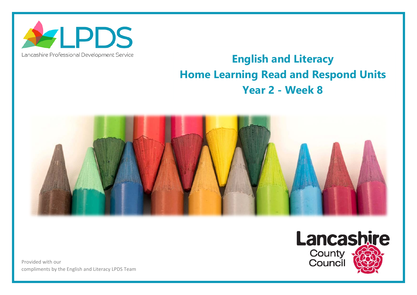

## Lancashire Professional Development Service

## **English and Literacy Home Learning Read and Respond Units Year 2 - Week 8**



Provided with our compliments by the English and Literacy LPDS Team

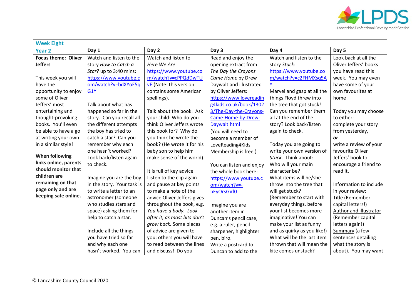

| <b>Week Eight</b>                            |                            |                               |                          |                             |                        |  |  |  |
|----------------------------------------------|----------------------------|-------------------------------|--------------------------|-----------------------------|------------------------|--|--|--|
| <b>Year 2</b>                                | Day 1                      | Day 2                         | Day 3                    | Day 4                       | Day 5                  |  |  |  |
| <b>Focus theme: Oliver</b>                   | Watch and listen to the    | Watch and listen to           | Read and enjoy the       | Watch and listen to the     | Look back at all the   |  |  |  |
| <b>Jeffers</b>                               | story How to Catch a       | Here We Are:                  | opening extract from     | story Stuck:                | Oliver Jeffers' books  |  |  |  |
|                                              | Star? up to 3:40 mins:     | https://www.youtube.co        | The Day the Crayons      | https://www.youtube.co      | you have read this     |  |  |  |
| This week you will                           | https://www.youtube.c      | m/watch?v=cPPQdDwTU           | Came Home by Drew        | m/watch?v=c2FHMXsq5A        | week. You may even     |  |  |  |
| have the                                     | om/watch?v=bdXYoE5q        | <b>vE</b> (Note: this version | Daywalt and illustrated  | $\underline{Y}$             | have some of your      |  |  |  |
| opportunity to enjoy                         | G <sub>1</sub> Y           | contains some American        | by Oliver Jeffers:       | Marvel and gasp at all the  | own favourites at      |  |  |  |
| some of Oliver                               |                            | spellings).                   | https://www.lovereadin   | things Floyd threw into     | home!                  |  |  |  |
| Jeffers' most                                | Talk about what has        |                               | g4kids.co.uk/book/1302   | the tree that got stuck!    |                        |  |  |  |
| entertaining and                             | happened so far in the     | Talk about the book. Ask      | 3/The-Day-the-Crayons-   | Can you remember them       | Today you may choose   |  |  |  |
| thought-provoking                            | story. Can you recall all  | your child: Who do you        | Came-Home-by-Drew-       | all at the end of the       | to either:             |  |  |  |
| books. You'll even                           | the different attempts     | think Oliver Jeffers wrote    | Daywalt.html             | story? Look back/listen     | complete your story    |  |  |  |
| be able to have a go                         | the boy has tried to       | this book for? Why do         | (You will need to        | again to check.             | from yesterday,        |  |  |  |
| at writing your own                          | catch a star? Can you      | you think he wrote the        | become a member of       |                             | or                     |  |  |  |
| in a similar style!                          | remember why each          | book? (He wrote it for his    | LoveReading4Kids.        | Today you are going to      | write a review of your |  |  |  |
|                                              | one hasn't worked?         | baby son to help him          | Membership is free.)     | write your own version of   | favourite Oliver       |  |  |  |
| <b>When following</b>                        | Look back/listen again     | make sense of the world).     |                          | Stuck. Think about:         | Jeffers' book to       |  |  |  |
| links online, parents<br>should monitor that | to check.                  |                               | You can listen and enjoy | Who will your main          | encourage a friend to  |  |  |  |
|                                              |                            | It is full of key advice.     | the whole book here:     | character be?               | read it.               |  |  |  |
| children are                                 | Imagine you are the boy    | Listen to the clip again      | https://www.youtube.c    | What items will he/she      |                        |  |  |  |
| remaining on that                            | in the story. Your task is | and pause at key points       | om/watch?v=-             | throw into the tree that    | Information to include |  |  |  |
| page only and are                            | to write a letter to an    | to make a note of the         | bEyOrsGVf0               | will get stuck?             | in your review:        |  |  |  |
| keeping safe online.                         | astronomer (someone        | advice Oliver Jeffers gives   |                          | (Remember to start with     | Title (Remember        |  |  |  |
|                                              | who studies stars and      | throughout the book, e.g.     | Imagine you are          | everyday things, before     | capital letters!)      |  |  |  |
|                                              | space) asking them for     | You have a body. Look         | another item in          | your list becomes more      | Author and illustrator |  |  |  |
|                                              | help to catch a star.      | after it, as most bits don't  | Duncan's pencil case,    | imaginative! You can        | (Remember capital      |  |  |  |
|                                              |                            | grow back. Some pieces        | e.g. a ruler, pencil     | make your list as funny     | letters again!)        |  |  |  |
|                                              | Include all the things     | of advice are given to        | sharpener, highlighter   | and as quirky as you like!) | Summary (a few         |  |  |  |
|                                              | you have tried so far      | you; others you will have     | pen, biro.               | What will be the last item  | sentences detailing    |  |  |  |
|                                              | and why each one           | to read between the lines     | Write a postcard to      | thrown that will mean the   | what the story is      |  |  |  |
|                                              | hasn't worked. You can     | and discuss! Do you           | Duncan to add to the     | kite comes unstuck?         | about). You may want   |  |  |  |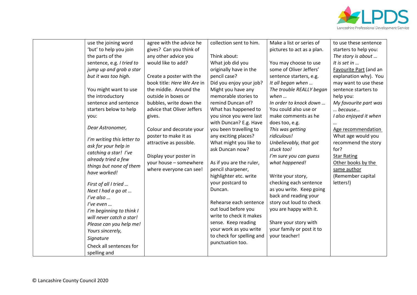

| use the joining word                                 | agree with the advice he   | collection sent to him.   | Make a list or series of   | to use these sentence  |
|------------------------------------------------------|----------------------------|---------------------------|----------------------------|------------------------|
| 'but' to help you join                               | gives? Can you think of    |                           | pictures to act as a plan. | starters to help you:  |
| the parts of the                                     | any other advice you       | Think about:              |                            | The story is about     |
| sentence, e.g. I tried to                            | would like to add?         | What job did you          | You may choose to use      | It is set in           |
| jump up and grab a star                              |                            | originally have in the    | some of Oliver Jeffers'    | Favourite Part (and an |
| but it was too high.                                 | Create a poster with the   | pencil case?              | sentence starters, e.g.    | explanation why). You  |
|                                                      | book title: Here We Are in | Did you enjoy your job?   | It all began when          | may want to use these  |
| You might want to use                                | the middle. Around the     | Might you have any        | The trouble REALLY began   | sentence starters to   |
| the introductory                                     | outside in boxes or        | memorable stories to      | when $\ldots$              | help you:              |
| sentence and sentence                                | bubbles, write down the    | remind Duncan of?         | In order to knock down     | My favourite part was  |
| starters below to help                               | advice that Oliver Jeffers | What has happened to      | You could also use or      | because                |
| you:                                                 | gives.                     | you since you were last   | make comments as he        | I also enjoyed it when |
|                                                      |                            | with Duncan? E.g. Have    | does too, e.g.             |                        |
| Dear Astronomer,                                     | Colour and decorate your   | you been travelling to    | This was getting           | Age recommendation     |
|                                                      | poster to make it as       | any exciting places?      | ridiculous!                | What age would you     |
| I'm writing this letter to                           | attractive as possible.    | What might you like to    | Unbelievably, that got     | recommend the story    |
| ask for your help in                                 |                            | ask Duncan now?           | stuck too!                 | for?                   |
| catching a star! I've                                | Display your poster in     |                           | I'm sure you can guess     | <b>Star Rating</b>     |
| already tried a few                                  | your house - somewhere     | As if you are the ruler,  | what happened!             | Other books by the     |
| things but none of them                              | where everyone can see!    | pencil sharpener,         |                            | same author            |
| have worked!                                         |                            | highlighter etc. write    | Write your story,          | (Remember capital      |
| First of all I tried                                 |                            | your postcard to          | checking each sentence     | letters!)              |
| Next I had a go at                                   |                            | Duncan.                   | as you write. Keep going   |                        |
| I've also $\ldots$                                   |                            |                           | back and reading your      |                        |
| I've even                                            |                            | Rehearse each sentence    | story out loud to check    |                        |
|                                                      |                            | out loud before you       | you are happy with it.     |                        |
| I'm beginning to think I<br>will never catch a star! |                            | write to check it makes   |                            |                        |
|                                                      |                            | sense. Keep reading       | Share your story with      |                        |
| Please can you help me!                              |                            | your work as you write    | your family or post it to  |                        |
| Yours sincerely,                                     |                            | to check for spelling and | your teacher!              |                        |
| Signature                                            |                            | punctuation too.          |                            |                        |
| Check all sentences for                              |                            |                           |                            |                        |
| spelling and                                         |                            |                           |                            |                        |